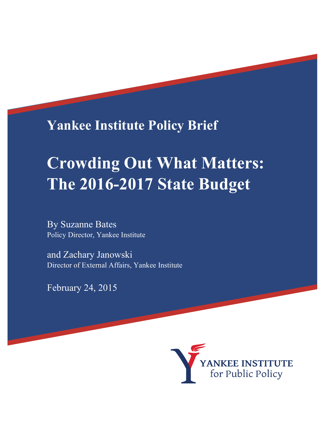**Yankee Institute Policy Brief**

# **Crowding Out What Matters: The 2016-2017 State Budget**

By Suzanne Bates Policy Director, Yankee Institute

and Zachary Janowski Director of External Affairs, Yankee Institute

February 24, 2015

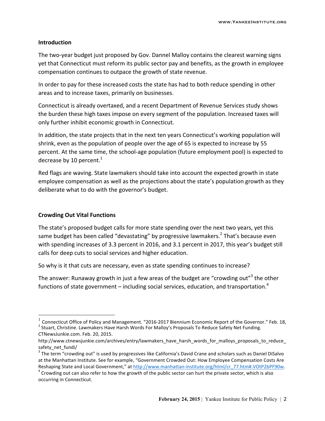#### **Introduction**

The two-year budget just proposed by Gov. Dannel Malloy contains the clearest warning signs yet that Connecticut must reform its public sector pay and benefits, as the growth in employee compensation continues to outpace the growth of state revenue.

In order to pay for these increased costs the state has had to both reduce spending in other areas and to increase taxes, primarily on businesses.

Connecticut is already overtaxed, and a recent Department of Revenue Services study shows the burden these high taxes impose on every segment of the population. Increased taxes will only further inhibit economic growth in Connecticut.

In addition, the state projects that in the next ten years Connecticut's working population will shrink, even as the population of people over the age of 65 is expected to increase by 55 percent. At the same time, the school-age population (future employment pool) is expected to decrease by 10 percent. $1$ 

Red flags are waving. State lawmakers should take into account the expected growth in state employee compensation as well as the projections about the state's population growth as they deliberate what to do with the governor's budget.

#### **Crowding Out Vital Functions**

The state's proposed budget calls for more state spending over the next two years, yet this same budget has been called "devastating" by progressive lawmakers.<sup>2</sup> That's because even with spending increases of 3.3 percent in 2016, and 3.1 percent in 2017, this year's budget still calls for deep cuts to social services and higher education.

So why is it that cuts are necessary, even as state spending continues to increase?

The answer: Runaway growth in just a few areas of the budget are "crowding out"<sup>3</sup> the other functions of state government – including social services, education, and transportation.<sup>4</sup>

<sup>&</sup>lt;sup>1</sup> Connecticut Office of Policy and Management. "2016-2017 Biennium Economic Report of the Governor." Feb. 18,<br><sup>2</sup> Stuart, Christine. Lawmakers Have Harsh Words For Malloy's Proposals To Reduce Safety Net Funding.

CTNewsJunkie.com. Feb. 20, 2015.

http://www.ctnewsjunkie.com/archives/entry/lawmakers\_have\_harsh\_words\_for\_malloys\_proposals\_to\_reduce safety net fundi/

 $3$  The term "crowding out" is used by progressives like California's David Crane and scholars such as Daniel DiSalvo at the Manhattan Institute. See for example, "Government Crowded Out: How Employee Compensation Costs Are Reshaping State and Local Government," at http://www.manhattan-institute.org/html/cr\_77.htm#.VOtP2bPF90w.<br><sup>4</sup> Crowding out can also refer to how the growth of the public sector can hurt the private sector, which is also

occurring in Connecticut.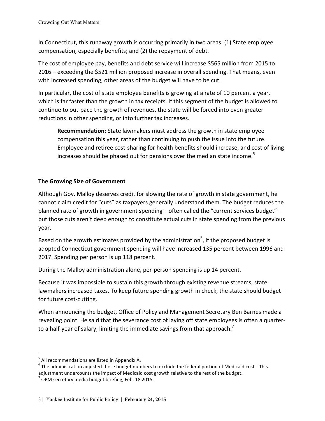In Connecticut, this runaway growth is occurring primarily in two areas: (1) State employee compensation, especially benefits; and (2) the repayment of debt.

The cost of employee pay, benefits and debt service will increase \$565 million from 2015 to 2016 – exceeding the \$521 million proposed increase in overall spending. That means, even with increased spending, other areas of the budget will have to be cut.

In particular, the cost of state employee benefits is growing at a rate of 10 percent a year, which is far faster than the growth in tax receipts. If this segment of the budget is allowed to continue to out-pace the growth of revenues, the state will be forced into even greater reductions in other spending, or into further tax increases.

**Recommendation:** State lawmakers must address the growth in state employee compensation this year, rather than continuing to push the issue into the future. Employee and retiree cost-sharing for health benefits should increase, and cost of living increases should be phased out for pensions over the median state income.<sup>5</sup>

# **The Growing Size of Government**

Although Gov. Malloy deserves credit for slowing the rate of growth in state government, he cannot claim credit for "cuts" as taxpayers generally understand them. The budget reduces the planned rate of growth in government spending – often called the "current services budget" – but those cuts aren't deep enough to constitute actual cuts in state spending from the previous year.

Based on the growth estimates provided by the administration<sup>6</sup>, if the proposed budget is adopted Connecticut government spending will have increased 135 percent between 1996 and 2017. Spending per person is up 118 percent.

During the Malloy administration alone, per-person spending is up 14 percent.

Because it was impossible to sustain this growth through existing revenue streams, state lawmakers increased taxes. To keep future spending growth in check, the state should budget for future cost-cutting.

When announcing the budget, Office of Policy and Management Secretary Ben Barnes made a revealing point. He said that the severance cost of laying off state employees is often a quarterto a half-year of salary, limiting the immediate savings from that approach.<sup>7</sup>

!!!!!!!!!!!!!!!!!!!!!!!!!!!!!!!!!!!!!!!!!!!!!!!!!!!!!!!!!!!!

 $^5$  All recommendations are listed in Appendix A.<br> $^6$  The administration adjusted these budget numbers to exclude the federal portion of Medicaid costs. This adjustment undercounts the impact of Medicaid cost growth relative to the rest of the budget.

 $<sup>7</sup>$  OPM secretary media budget briefing, Feb. 18 2015.</sup>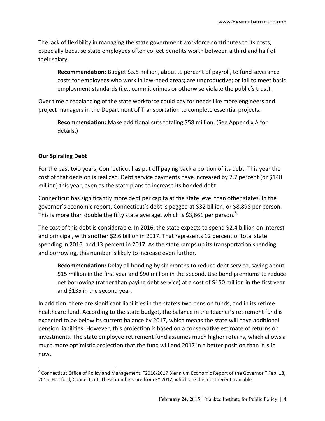The lack of flexibility in managing the state government workforce contributes to its costs, especially because state employees often collect benefits worth between a third and half of their salary.

**Recommendation:** Budget \$3.5 million, about .1 percent of payroll, to fund severance costs for employees who work in low-need areas; are unproductive; or fail to meet basic employment standards (i.e., commit crimes or otherwise violate the public's trust).

Over time a rebalancing of the state workforce could pay for needs like more engineers and project managers in the Department of Transportation to complete essential projects.

Recommendation: Make additional cuts totaling \$58 million. (See Appendix A for details.)

#### **Our Spiraling Debt**

!!!!!!!!!!!!!!!!!!!!!!!!!!!!!!!!!!!!!!!!!!!!!!!!!!!!!!!!!!!!

For the past two years, Connecticut has put off paying back a portion of its debt. This year the cost of that decision is realized. Debt service payments have increased by 7.7 percent (or \$148 million) this year, even as the state plans to increase its bonded debt.

Connecticut has significantly more debt per capita at the state level than other states. In the governor's economic report, Connecticut's debt is pegged at \$32 billion, or \$8,898 per person. This is more than double the fifty state average, which is \$3,661 per person.<sup>8</sup>

The cost of this debt is considerable. In 2016, the state expects to spend \$2.4 billion on interest and principal, with another \$2.6 billion in 2017. That represents 12 percent of total state spending in 2016, and 13 percent in 2017. As the state ramps up its transportation spending and borrowing, this number is likely to increase even further.

**Recommendation:** Delay all bonding by six months to reduce debt service, saving about \$15 million in the first year and \$90 million in the second. Use bond premiums to reduce net borrowing (rather than paying debt service) at a cost of \$150 million in the first year and \$135 in the second year.

In addition, there are significant liabilities in the state's two pension funds, and in its retiree healthcare fund. According to the state budget, the balance in the teacher's retirement fund is expected to be below its current balance by 2017, which means the state will have additional pension liabilities. However, this projection is based on a conservative estimate of returns on investments. The state employee retirement fund assumes much higher returns, which allows a much more optimistic projection that the fund will end 2017 in a better position than it is in now.

 $8$  Connecticut Office of Policy and Management. "2016-2017 Biennium Economic Report of the Governor." Feb. 18, 2015. Hartford, Connecticut. These numbers are from FY 2012, which are the most recent available.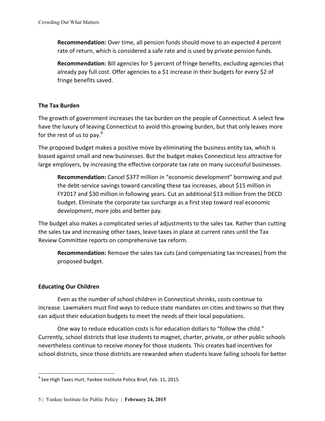**Recommendation:** Over time, all pension funds should move to an expected 4 percent rate of return, which is considered a safe rate and is used by private pension funds.

**Recommendation:** Bill agencies for 5 percent of fringe benefits, excluding agencies that already pay full cost. Offer agencies to a \$1 increase in their budgets for every \$2 of fringe benefits saved.

# **The Tax Burden**

The growth of government increases the tax burden on the people of Connecticut. A select few have the luxury of leaving Connecticut to avoid this growing burden, but that only leaves more for the rest of us to pay. $9$ 

The proposed budget makes a positive move by eliminating the business entity tax, which is biased against small and new businesses. But the budget makes Connecticut less attractive for large employers, by increasing the effective corporate tax rate on many successful businesses.

**Recommendation:** Cancel \$377 million in "economic development" borrowing and put the debt-service savings toward canceling these tax increases, about \$15 million in FY2017 and \$30 million in following years. Cut an additional \$13 million from the DECD budget. Eliminate the corporate tax surcharge as a first step toward real economic development, more jobs and better pay.

The budget also makes a complicated series of adjustments to the sales tax. Rather than cutting the sales tax and increasing other taxes, leave taxes in place at current rates until the Tax Review Committee reports on comprehensive tax reform.

**Recommendation:** Remove the sales tax cuts (and compensating tax increases) from the proposed budget.

# **Educating Our Children**

!!!!!!!!!!!!!!!!!!!!!!!!!!!!!!!!!!!!!!!!!!!!!!!!!!!!!!!!!!!!

Even as the number of school children in Connecticut shrinks, costs continue to increase. Lawmakers must find ways to reduce state mandates on cities and towns so that they can adjust their education budgets to meet the needs of their local populations.

One way to reduce education costs is for education dollars to "follow the child." Currently, school districts that lose students to magnet, charter, private, or other public schools nevertheless continue to receive money for those students. This creates bad incentives for school districts, since those districts are rewarded when students leave failing schools for better

 $9$  See High Taxes Hurt, Yankee Institute Policy Brief, Feb. 11, 2015.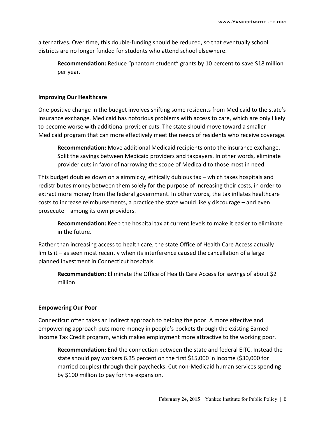alternatives. Over time, this double-funding should be reduced, so that eventually school districts are no longer funded for students who attend school elsewhere.

**Recommendation:** Reduce "phantom student" grants by 10 percent to save \$18 million per year.

#### **Improving Our Healthcare**

One positive change in the budget involves shifting some residents from Medicaid to the state's insurance exchange. Medicaid has notorious problems with access to care, which are only likely to become worse with additional provider cuts. The state should move toward a smaller Medicaid program that can more effectively meet the needs of residents who receive coverage.

**Recommendation:** Move additional Medicaid recipients onto the insurance exchange. Split the savings between Medicaid providers and taxpayers. In other words, eliminate provider cuts in favor of narrowing the scope of Medicaid to those most in need.

This budget doubles down on a gimmicky, ethically dubious tax – which taxes hospitals and redistributes money between them solely for the purpose of increasing their costs, in order to extract more money from the federal government. In other words, the tax inflates healthcare costs to increase reimbursements, a practice the state would likely discourage – and even prosecute – among its own providers.

**Recommendation:** Keep the hospital tax at current levels to make it easier to eliminate in the future.

Rather than increasing access to health care, the state Office of Health Care Access actually limits it – as seen most recently when its interference caused the cancellation of a large planned investment in Connecticut hospitals.

**Recommendation:** Eliminate the Office of Health Care Access for savings of about \$2 million.

#### **Empowering Our Poor**

Connecticut often takes an indirect approach to helping the poor. A more effective and empowering approach puts more money in people's pockets through the existing Earned Income Tax Credit program, which makes employment more attractive to the working poor.

**Recommendation:** End the connection between the state and federal EITC. Instead the state should pay workers 6.35 percent on the first \$15,000 in income (\$30,000 for married couples) through their paychecks. Cut non-Medicaid human services spending by \$100 million to pay for the expansion.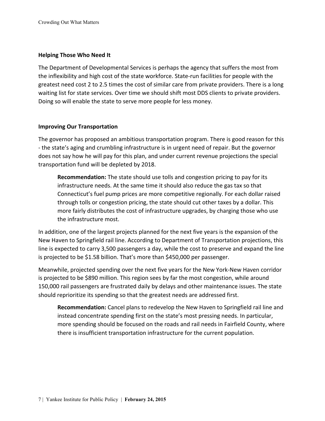## **Helping Those Who Need It**

The Department of Developmental Services is perhaps the agency that suffers the most from the inflexibility and high cost of the state workforce. State-run facilities for people with the greatest need cost 2 to 2.5 times the cost of similar care from private providers. There is a long waiting list for state services. Over time we should shift most DDS clients to private providers. Doing so will enable the state to serve more people for less money.

## **Improving Our Transportation**

The governor has proposed an ambitious transportation program. There is good reason for this - the state's aging and crumbling infrastructure is in urgent need of repair. But the governor does not say how he will pay for this plan, and under current revenue projections the special transportation fund will be depleted by 2018.

**Recommendation:** The state should use tolls and congestion pricing to pay for its infrastructure needs. At the same time it should also reduce the gas tax so that Connecticut's fuel pump prices are more competitive regionally. For each dollar raised through tolls or congestion pricing, the state should cut other taxes by a dollar. This more fairly distributes the cost of infrastructure upgrades, by charging those who use the infrastructure most.

In addition, one of the largest projects planned for the next five years is the expansion of the New Haven to Springfield rail line. According to Department of Transportation projections, this line is expected to carry 3,500 passengers a day, while the cost to preserve and expand the line is projected to be \$1.58 billion. That's more than \$450,000 per passenger.

Meanwhile, projected spending over the next five years for the New York-New Haven corridor is projected to be \$890 million. This region sees by far the most congestion, while around 150,000 rail passengers are frustrated daily by delays and other maintenance issues. The state should reprioritize its spending so that the greatest needs are addressed first.

**Recommendation:** Cancel plans to redevelop the New Haven to Springfield rail line and instead concentrate spending first on the state's most pressing needs. In particular, more spending should be focused on the roads and rail needs in Fairfield County, where there is insufficient transportation infrastructure for the current population.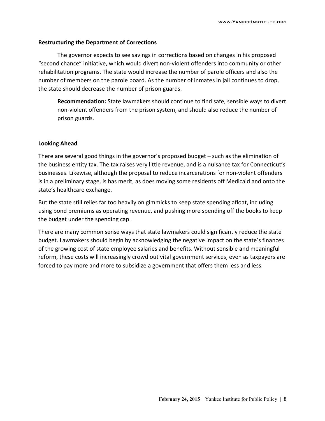#### **Restructuring the Department of Corrections**

The governor expects to see savings in corrections based on changes in his proposed "second chance" initiative, which would divert non-violent offenders into community or other rehabilitation programs. The state would increase the number of parole officers and also the number of members on the parole board. As the number of inmates in jail continues to drop, the state should decrease the number of prison guards.

**Recommendation:** State lawmakers should continue to find safe, sensible ways to divert non-violent offenders from the prison system, and should also reduce the number of prison guards.

#### **Looking\*Ahead**

There are several good things in the governor's proposed budget – such as the elimination of the business entity tax. The tax raises very little revenue, and is a nuisance tax for Connecticut's businesses. Likewise, although the proposal to reduce incarcerations for non-violent offenders is in a preliminary stage, is has merit, as does moving some residents off Medicaid and onto the state's healthcare exchange.

But the state still relies far too heavily on gimmicks to keep state spending afloat, including using bond premiums as operating revenue, and pushing more spending off the books to keep the budget under the spending cap.

There are many common sense ways that state lawmakers could significantly reduce the state budget. Lawmakers should begin by acknowledging the negative impact on the state's finances of the growing cost of state employee salaries and benefits. Without sensible and meaningful reform, these costs will increasingly crowd out vital government services, even as taxpayers are forced to pay more and more to subsidize a government that offers them less and less.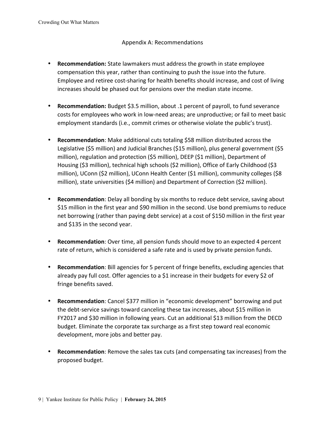## Appendix A: Recommendations

- **Recommendation:** State lawmakers must address the growth in state employee compensation this year, rather than continuing to push the issue into the future. Employee and retiree cost-sharing for health benefits should increase, and cost of living increases should be phased out for pensions over the median state income.
- **Recommendation:** Budget \$3.5 million, about .1 percent of payroll, to fund severance costs for employees who work in low-need areas; are unproductive; or fail to meet basic employment standards (i.e., commit crimes or otherwise violate the public's trust).
- **Recommendation**: Make additional cuts totaling \$58 million distributed across the Legislative (\$5 million) and Judicial Branches (\$15 million), plus general government (\$5 million), regulation and protection (\$5 million), DEEP (\$1 million), Department of Housing (\$3 million), technical high schools (\$2 million), Office of Early Childhood (\$3 million), UConn (\$2 million), UConn Health Center (\$1 million), community colleges (\$8 million), state universities (\$4 million) and Department of Correction (\$2 million).
- **Recommendation**: Delay all bonding by six months to reduce debt service, saving about \$15 million in the first year and \$90 million in the second. Use bond premiums to reduce net borrowing (rather than paying debt service) at a cost of \$150 million in the first year and \$135 in the second year.
- **Recommendation**: Over time, all pension funds should move to an expected 4 percent rate of return, which is considered a safe rate and is used by private pension funds.
- Recommendation: Bill agencies for 5 percent of fringe benefits, excluding agencies that already pay full cost. Offer agencies to a \$1 increase in their budgets for every \$2 of fringe benefits saved.
- **Recommendation**: Cancel \$377 million in "economic development" borrowing and put the debt-service savings toward canceling these tax increases, about \$15 million in FY2017 and \$30 million in following years. Cut an additional \$13 million from the DECD budget. Eliminate the corporate tax surcharge as a first step toward real economic development, more jobs and better pay.
- **Recommendation**: Remove the sales tax cuts (and compensating tax increases) from the proposed budget.